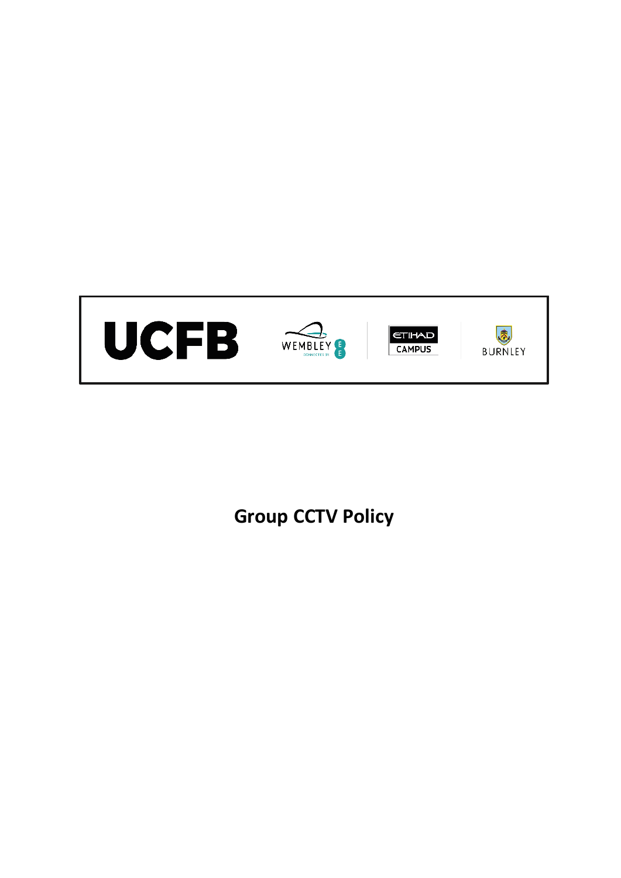

**Group CCTV Policy**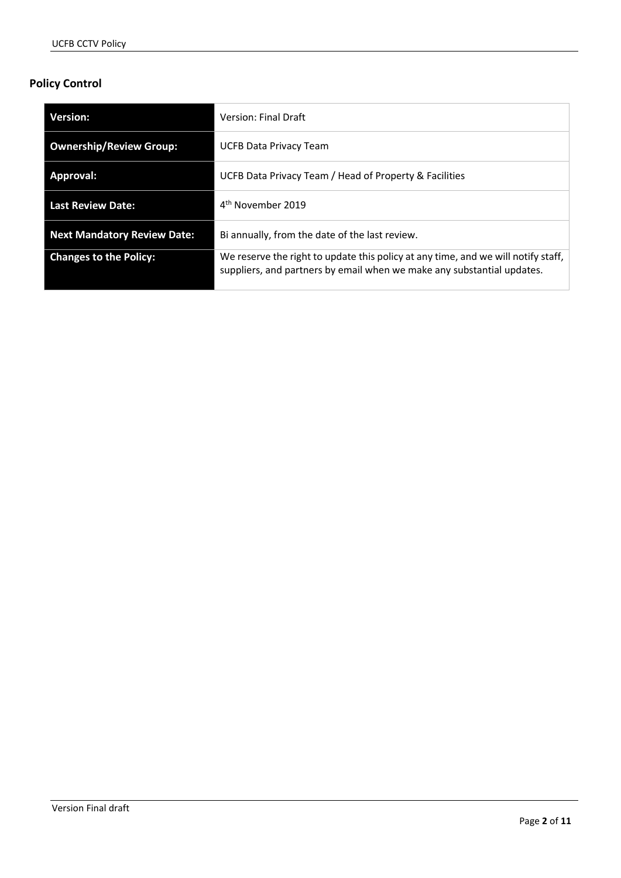# **Policy Control**

| Version:                           | <b>Version: Final Draft</b>                                                                                                                                 |
|------------------------------------|-------------------------------------------------------------------------------------------------------------------------------------------------------------|
| <b>Ownership/Review Group:</b>     | UCFB Data Privacy Team                                                                                                                                      |
| Approval:                          | UCFB Data Privacy Team / Head of Property & Facilities                                                                                                      |
| Last Review Date:                  | 4 <sup>th</sup> November 2019                                                                                                                               |
| <b>Next Mandatory Review Date:</b> | Bi annually, from the date of the last review.                                                                                                              |
| <b>Changes to the Policy:</b>      | We reserve the right to update this policy at any time, and we will notify staff,<br>suppliers, and partners by email when we make any substantial updates. |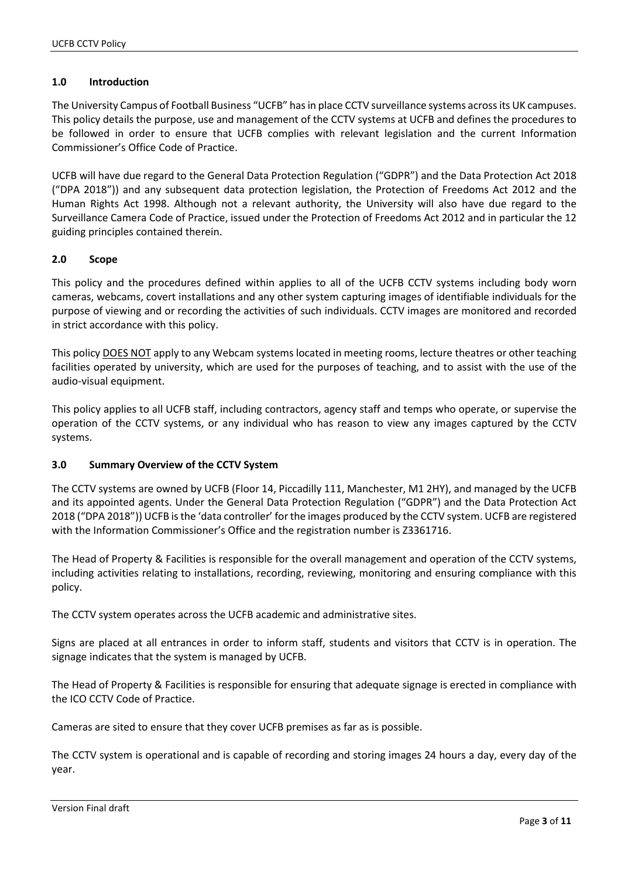#### **1.0 Introduction**

The University Campus of Football Business "UCFB" has in place CCTV surveillance systems across its UK campuses. This policy details the purpose, use and management of the CCTV systems at UCFB and defines the procedures to be followed in order to ensure that UCFB complies with relevant legislation and the current Information Commissioner's Office Code of Practice.

UCFB will have due regard to the General Data Protection Regulation ("GDPR") and the Data Protection Act 2018 ("DPA 2018")) and any subsequent data protection legislation, the Protection of Freedoms Act 2012 and the Human Rights Act 1998. Although not a relevant authority, the University will also have due regard to the Surveillance Camera Code of Practice, issued under the Protection of Freedoms Act 2012 and in particular the 12 guiding principles contained therein.

#### **2.0 Scope**

This policy and the procedures defined within applies to all of the UCFB CCTV systems including body worn cameras, webcams, covert installations and any other system capturing images of identifiable individuals for the purpose of viewing and or recording the activities of such individuals. CCTV images are monitored and recorded in strict accordance with this policy.

This policy DOES NOT apply to any Webcam systems located in meeting rooms, lecture theatres or other teaching facilities operated by university, which are used for the purposes of teaching, and to assist with the use of the audio-visual equipment.

This policy applies to all UCFB staff, including contractors, agency staff and temps who operate, or supervise the operation of the CCTV systems, or any individual who has reason to view any images captured by the CCTV systems.

#### **3.0 Summary Overview of the CCTV System**

The CCTV systems are owned by UCFB (Floor 14, Piccadilly 111, Manchester, M1 2HY), and managed by the UCFB and its appointed agents. Under the General Data Protection Regulation ("GDPR") and the Data Protection Act 2018 ("DPA 2018")) UCFB is the 'data controller' for the images produced by the CCTV system. UCFB are registered with the Information Commissioner's Office and the registration number is Z3361716.

The Head of Property & Facilities is responsible for the overall management and operation of the CCTV systems, including activities relating to installations, recording, reviewing, monitoring and ensuring compliance with this policy.

The CCTV system operates across the UCFB academic and administrative sites.

Signs are placed at all entrances in order to inform staff, students and visitors that CCTV is in operation. The signage indicates that the system is managed by UCFB.

The Head of Property & Facilities is responsible for ensuring that adequate signage is erected in compliance with the ICO CCTV Code of Practice.

Cameras are sited to ensure that they cover UCFB premises as far as is possible.

The CCTV system is operational and is capable of recording and storing images 24 hours a day, every day of the year.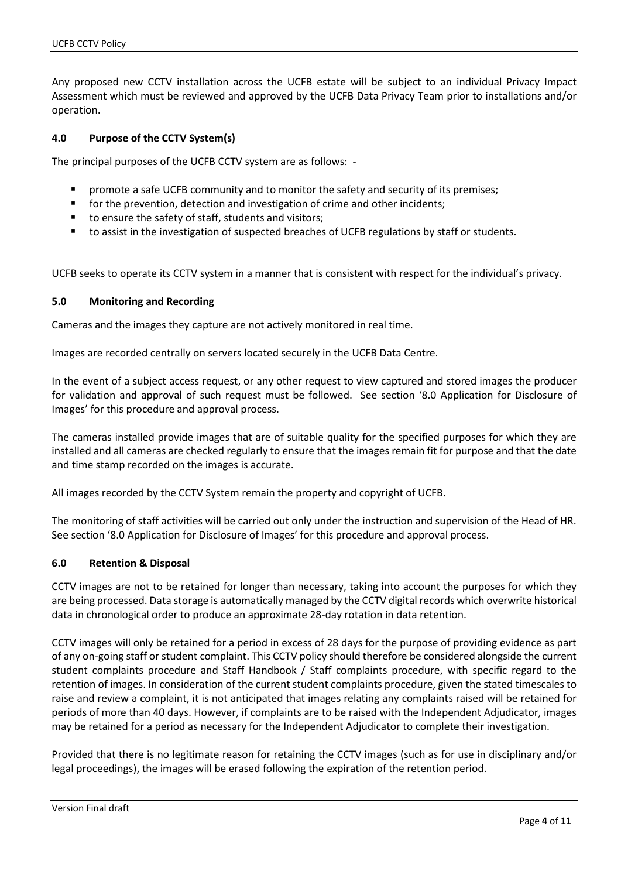Any proposed new CCTV installation across the UCFB estate will be subject to an individual Privacy Impact Assessment which must be reviewed and approved by the UCFB Data Privacy Team prior to installations and/or operation.

#### **4.0 Purpose of the CCTV System(s)**

The principal purposes of the UCFB CCTV system are as follows: -

- promote a safe UCFB community and to monitor the safety and security of its premises;
- **for the prevention, detection and investigation of crime and other incidents;**
- to ensure the safety of staff, students and visitors;
- to assist in the investigation of suspected breaches of UCFB regulations by staff or students.

UCFB seeks to operate its CCTV system in a manner that is consistent with respect for the individual's privacy.

#### **5.0 Monitoring and Recording**

Cameras and the images they capture are not actively monitored in real time.

Images are recorded centrally on servers located securely in the UCFB Data Centre.

In the event of a subject access request, or any other request to view captured and stored images the producer for validation and approval of such request must be followed. See section '8.0 Application for Disclosure of Images' for this procedure and approval process.

The cameras installed provide images that are of suitable quality for the specified purposes for which they are installed and all cameras are checked regularly to ensure that the images remain fit for purpose and that the date and time stamp recorded on the images is accurate.

All images recorded by the CCTV System remain the property and copyright of UCFB.

The monitoring of staff activities will be carried out only under the instruction and supervision of the Head of HR. See section '8.0 Application for Disclosure of Images' for this procedure and approval process.

#### **6.0 Retention & Disposal**

CCTV images are not to be retained for longer than necessary, taking into account the purposes for which they are being processed. Data storage is automatically managed by the CCTV digital records which overwrite historical data in chronological order to produce an approximate 28-day rotation in data retention.

CCTV images will only be retained for a period in excess of 28 days for the purpose of providing evidence as part of any on-going staff or student complaint. This CCTV policy should therefore be considered alongside the current student complaints procedure and Staff Handbook / Staff complaints procedure, with specific regard to the retention of images. In consideration of the current student complaints procedure, given the stated timescales to raise and review a complaint, it is not anticipated that images relating any complaints raised will be retained for periods of more than 40 days. However, if complaints are to be raised with the Independent Adjudicator, images may be retained for a period as necessary for the Independent Adjudicator to complete their investigation.

Provided that there is no legitimate reason for retaining the CCTV images (such as for use in disciplinary and/or legal proceedings), the images will be erased following the expiration of the retention period.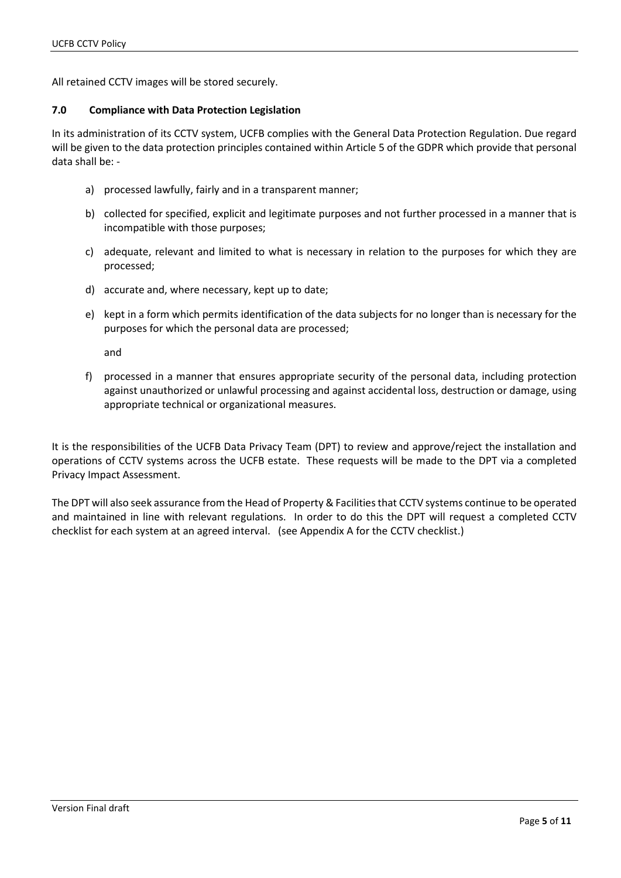All retained CCTV images will be stored securely.

#### **7.0 Compliance with Data Protection Legislation**

In its administration of its CCTV system, UCFB complies with the General Data Protection Regulation. Due regard will be given to the data protection principles contained within Article 5 of the GDPR which provide that personal data shall be: -

- a) processed lawfully, fairly and in a transparent manner;
- b) collected for specified, explicit and legitimate purposes and not further processed in a manner that is incompatible with those purposes;
- c) adequate, relevant and limited to what is necessary in relation to the purposes for which they are processed;
- d) accurate and, where necessary, kept up to date;
- e) kept in a form which permits identification of the data subjects for no longer than is necessary for the purposes for which the personal data are processed;

and

f) processed in a manner that ensures appropriate security of the personal data, including protection against unauthorized or unlawful processing and against accidental loss, destruction or damage, using appropriate technical or organizational measures.

It is the responsibilities of the UCFB Data Privacy Team (DPT) to review and approve/reject the installation and operations of CCTV systems across the UCFB estate. These requests will be made to the DPT via a completed Privacy Impact Assessment.

The DPT will also seek assurance from the Head of Property & Facilities that CCTV systems continue to be operated and maintained in line with relevant regulations. In order to do this the DPT will request a completed CCTV checklist for each system at an agreed interval. (see Appendix A for the CCTV checklist.)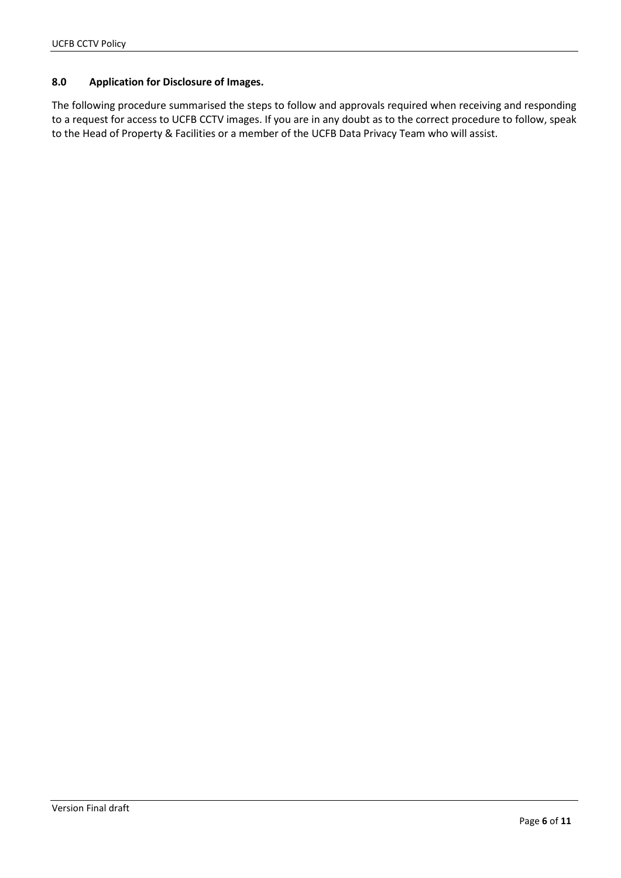### **8.0 Application for Disclosure of Images.**

The following procedure summarised the steps to follow and approvals required when receiving and responding to a request for access to UCFB CCTV images. If you are in any doubt as to the correct procedure to follow, speak to the Head of Property & Facilities or a member of the UCFB Data Privacy Team who will assist.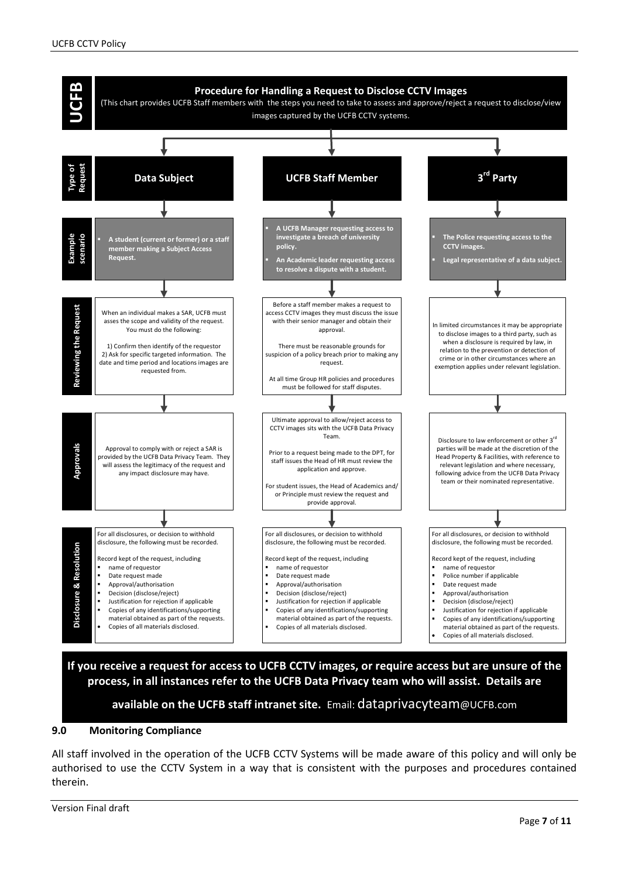

**If you receive a request for access to UCFB CCTV images, or require access but are unsure of the process, in all instances refer to the UCFB Data Privacy team who will assist. Details are** 

**available on the UCFB staff intranet site.** Email: dataprivacyteam@UCFB.com

#### **9.0 Monitoring Compliance**

All staff involved in the operation of the UCFB CCTV Systems will be made aware of this policy and will only be authorised to use the CCTV System in a way that is consistent with the purposes and procedures contained therein.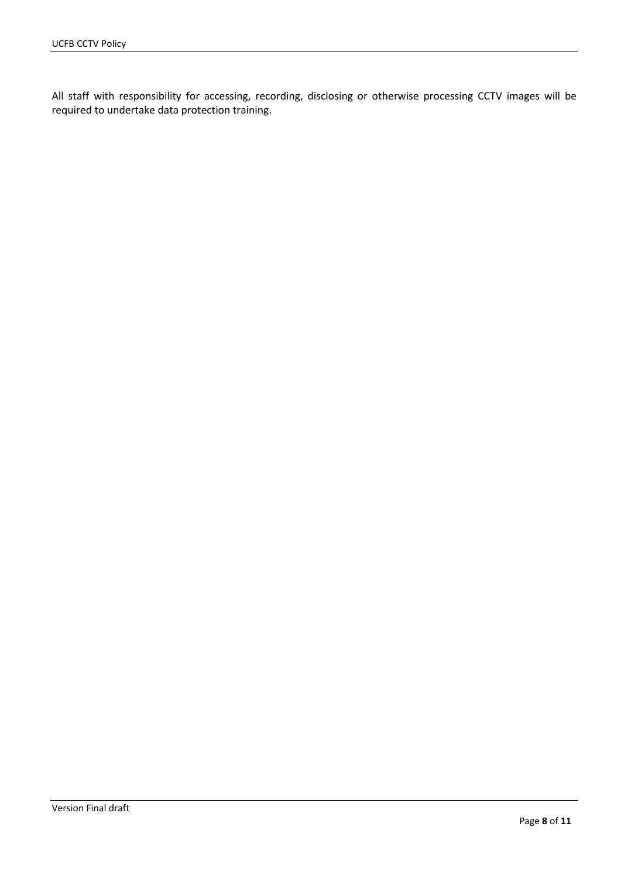All staff with responsibility for accessing, recording, disclosing or otherwise processing CCTV images will be required to undertake data protection training.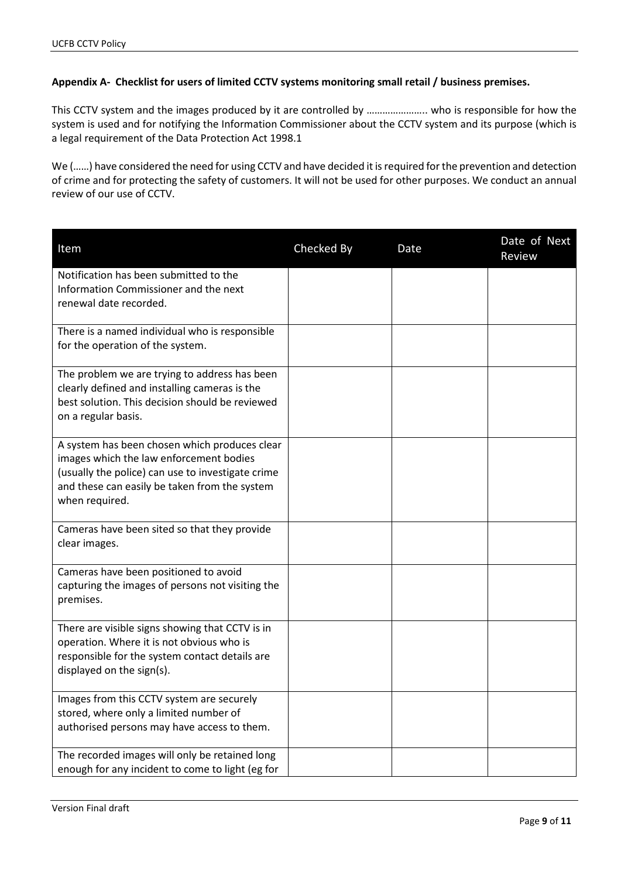## **Appendix A- Checklist for users of limited CCTV systems monitoring small retail / business premises.**

This CCTV system and the images produced by it are controlled by ………………….. who is responsible for how the system is used and for notifying the Information Commissioner about the CCTV system and its purpose (which is a legal requirement of the Data Protection Act 1998.1

We (……) have considered the need for using CCTV and have decided it is required for the prevention and detection of crime and for protecting the safety of customers. It will not be used for other purposes. We conduct an annual review of our use of CCTV.

| Item                                                                                               | Checked By | Date | Date of Next<br>Review |
|----------------------------------------------------------------------------------------------------|------------|------|------------------------|
| Notification has been submitted to the                                                             |            |      |                        |
| Information Commissioner and the next<br>renewal date recorded.                                    |            |      |                        |
|                                                                                                    |            |      |                        |
| There is a named individual who is responsible<br>for the operation of the system.                 |            |      |                        |
|                                                                                                    |            |      |                        |
| The problem we are trying to address has been<br>clearly defined and installing cameras is the     |            |      |                        |
| best solution. This decision should be reviewed                                                    |            |      |                        |
| on a regular basis.                                                                                |            |      |                        |
| A system has been chosen which produces clear                                                      |            |      |                        |
| images which the law enforcement bodies<br>(usually the police) can use to investigate crime       |            |      |                        |
| and these can easily be taken from the system                                                      |            |      |                        |
| when required.                                                                                     |            |      |                        |
| Cameras have been sited so that they provide                                                       |            |      |                        |
| clear images.                                                                                      |            |      |                        |
| Cameras have been positioned to avoid                                                              |            |      |                        |
| capturing the images of persons not visiting the<br>premises.                                      |            |      |                        |
|                                                                                                    |            |      |                        |
| There are visible signs showing that CCTV is in<br>operation. Where it is not obvious who is       |            |      |                        |
| responsible for the system contact details are                                                     |            |      |                        |
| displayed on the sign(s).                                                                          |            |      |                        |
| Images from this CCTV system are securely                                                          |            |      |                        |
| stored, where only a limited number of<br>authorised persons may have access to them.              |            |      |                        |
|                                                                                                    |            |      |                        |
| The recorded images will only be retained long<br>enough for any incident to come to light (eg for |            |      |                        |
|                                                                                                    |            |      |                        |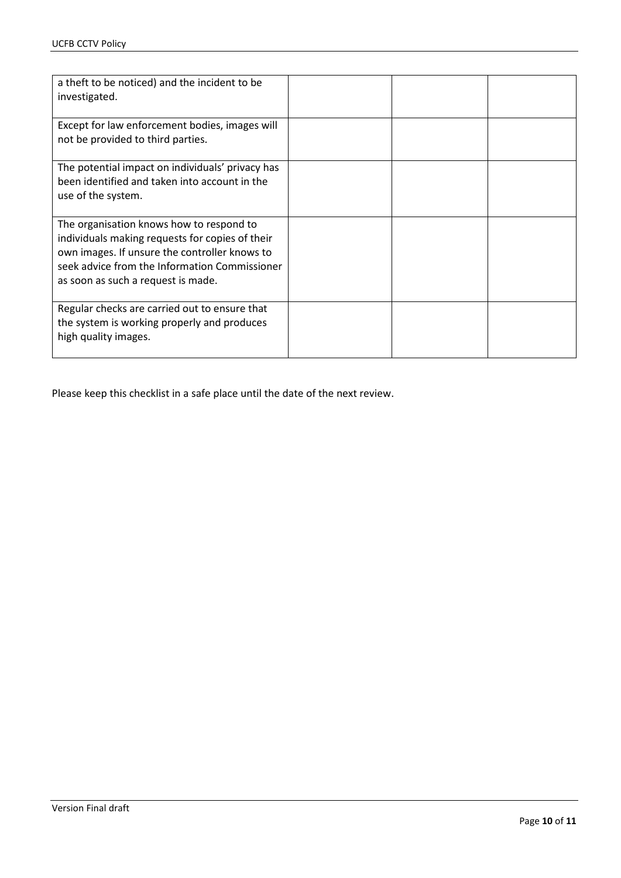| a theft to be noticed) and the incident to be<br>investigated.                                                                                                                                                                      |  |  |
|-------------------------------------------------------------------------------------------------------------------------------------------------------------------------------------------------------------------------------------|--|--|
| Except for law enforcement bodies, images will<br>not be provided to third parties.                                                                                                                                                 |  |  |
| The potential impact on individuals' privacy has<br>been identified and taken into account in the<br>use of the system.                                                                                                             |  |  |
| The organisation knows how to respond to<br>individuals making requests for copies of their<br>own images. If unsure the controller knows to<br>seek advice from the Information Commissioner<br>as soon as such a request is made. |  |  |
| Regular checks are carried out to ensure that<br>the system is working properly and produces<br>high quality images.                                                                                                                |  |  |

Please keep this checklist in a safe place until the date of the next review.